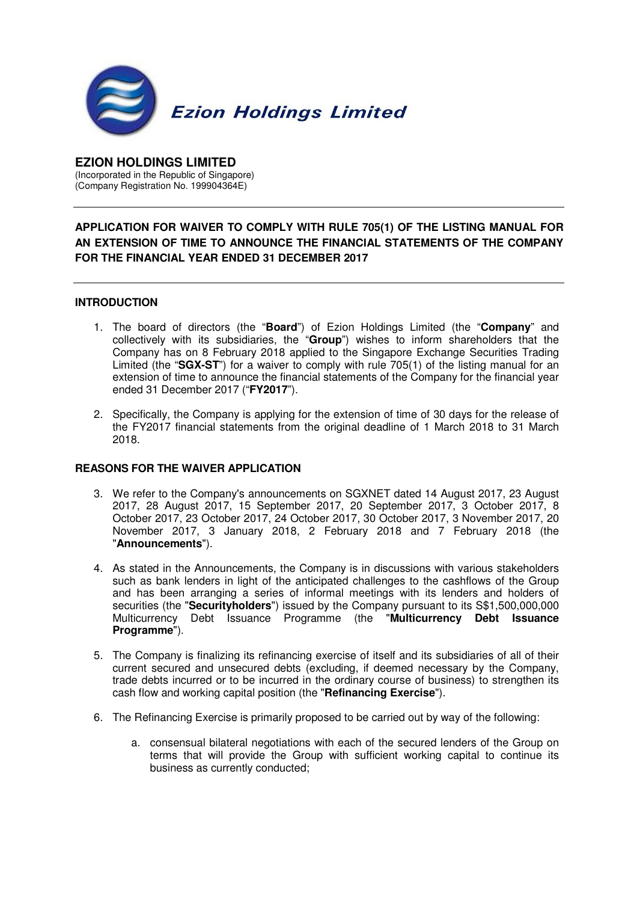

## **EZION HOLDINGS LIMITED**  (Incorporated in the Republic of Singapore) (Company Registration No. 199904364E)

## **APPLICATION FOR WAIVER TO COMPLY WITH RULE 705(1) OF THE LISTING MANUAL FOR AN EXTENSION OF TIME TO ANNOUNCE THE FINANCIAL STATEMENTS OF THE COMPANY FOR THE FINANCIAL YEAR ENDED 31 DECEMBER 2017**

## **INTRODUCTION**

- 1. The board of directors (the "**Board**") of Ezion Holdings Limited (the "**Company**" and collectively with its subsidiaries, the "**Group**") wishes to inform shareholders that the Company has on 8 February 2018 applied to the Singapore Exchange Securities Trading Limited (the "**SGX-ST**") for a waiver to comply with rule 705(1) of the listing manual for an extension of time to announce the financial statements of the Company for the financial year ended 31 December 2017 ("**FY2017**").
- 2. Specifically, the Company is applying for the extension of time of 30 days for the release of the FY2017 financial statements from the original deadline of 1 March 2018 to 31 March 2018.

## **REASONS FOR THE WAIVER APPLICATION**

- 3. We refer to the Company's announcements on SGXNET dated 14 August 2017, 23 August 2017, 28 August 2017, 15 September 2017, 20 September 2017, 3 October 2017, 8 October 2017, 23 October 2017, 24 October 2017, 30 October 2017, 3 November 2017, 20 November 2017, 3 January 2018, 2 February 2018 and 7 February 2018 (the "**Announcements**").
- 4. As stated in the Announcements, the Company is in discussions with various stakeholders such as bank lenders in light of the anticipated challenges to the cashflows of the Group and has been arranging a series of informal meetings with its lenders and holders of securities (the "**Securityholders**") issued by the Company pursuant to its S\$1,500,000,000 Multicurrency Debt Issuance Programme (the "**Multicurrency Debt Issuance Programme**").
- 5. The Company is finalizing its refinancing exercise of itself and its subsidiaries of all of their current secured and unsecured debts (excluding, if deemed necessary by the Company, trade debts incurred or to be incurred in the ordinary course of business) to strengthen its cash flow and working capital position (the "**Refinancing Exercise**").
- 6. The Refinancing Exercise is primarily proposed to be carried out by way of the following:
	- a. consensual bilateral negotiations with each of the secured lenders of the Group on terms that will provide the Group with sufficient working capital to continue its business as currently conducted;